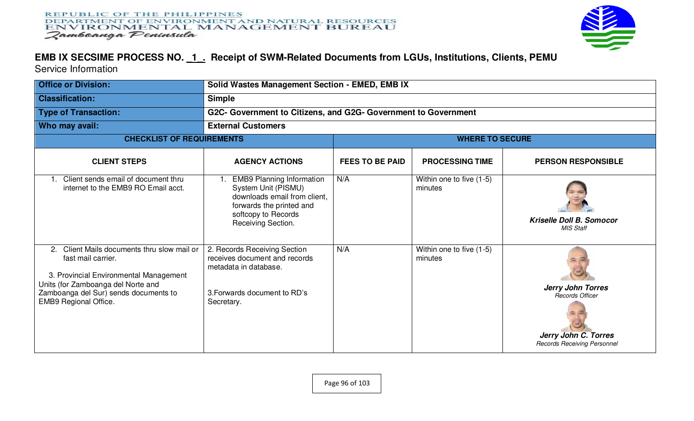## REPUBLIC OF THE PHILIPPINES DEPARTMENT OF ENVIRONMENT AND NATURAL RESOURCES ENVIRONMENTAL MANAGEMENT BUREAU Zamboanga Peninsula



## **EMB IX SECSIME PROCESS NO. \_1\_. Receipt of SWM-Related Documents from LGUs, Institutions, Clients, PEMU**  Service Information

| <b>Office or Division:</b>                                                                                                                                                                                                    | Solid Wastes Management Section - EMED, EMB IX                                                                                                                   |                        |                                     |                                                                                                                  |  |  |  |
|-------------------------------------------------------------------------------------------------------------------------------------------------------------------------------------------------------------------------------|------------------------------------------------------------------------------------------------------------------------------------------------------------------|------------------------|-------------------------------------|------------------------------------------------------------------------------------------------------------------|--|--|--|
| <b>Classification:</b>                                                                                                                                                                                                        | <b>Simple</b>                                                                                                                                                    |                        |                                     |                                                                                                                  |  |  |  |
| <b>Type of Transaction:</b>                                                                                                                                                                                                   | G2C- Government to Citizens, and G2G- Government to Government                                                                                                   |                        |                                     |                                                                                                                  |  |  |  |
| Who may avail:                                                                                                                                                                                                                | <b>External Customers</b>                                                                                                                                        |                        |                                     |                                                                                                                  |  |  |  |
| <b>CHECKLIST OF REQUIREMENTS</b>                                                                                                                                                                                              |                                                                                                                                                                  | <b>WHERE TO SECURE</b> |                                     |                                                                                                                  |  |  |  |
| <b>CLIENT STEPS</b>                                                                                                                                                                                                           | <b>AGENCY ACTIONS</b>                                                                                                                                            | <b>FEES TO BE PAID</b> | <b>PROCESSING TIME</b>              | <b>PERSON RESPONSIBLE</b>                                                                                        |  |  |  |
| Client sends email of document thru<br>internet to the EMB9 RO Email acct.                                                                                                                                                    | <b>EMB9 Planning Information</b><br>System Unit (PISMU)<br>downloads email from client.<br>forwards the printed and<br>softcopy to Records<br>Receiving Section. | N/A                    | Within one to five (1-5)<br>minutes | <b>Kriselle Doll B. Somocor</b><br><b>MIS Staff</b>                                                              |  |  |  |
| Client Mails documents thru slow mail or<br>2.<br>fast mail carrier.<br>3. Provincial Environmental Management<br>Units (for Zamboanga del Norte and<br>Zamboanga del Sur) sends documents to<br><b>EMB9 Regional Office.</b> | 2. Records Receiving Section<br>receives document and records<br>metadata in database.<br>3. Forwards document to RD's<br>Secretary.                             | N/A                    | Within one to five (1-5)<br>minutes | <b>Jerry John Torres</b><br><b>Records Officer</b><br>Jerry John C. Torres<br><b>Records Receiving Personnel</b> |  |  |  |

Page 96 of 103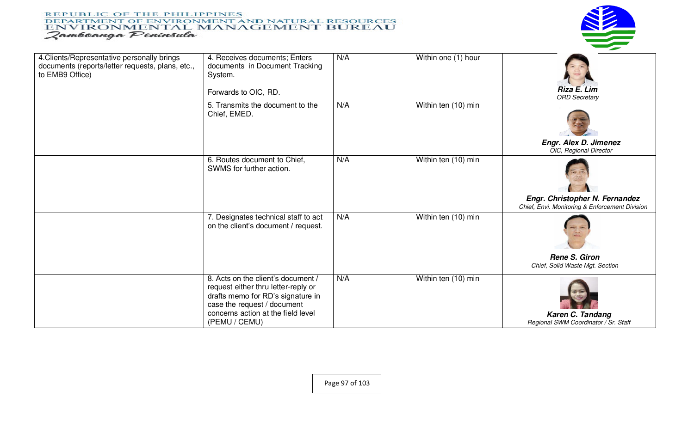## **REPUBLIC OF THE PHILIPPINES** DEPARTMENT OF ENVIRONMENT AND NATURAL RESOURCES ENVIRONMENTAL MANAGEMENT BUREAU Zamboanga Peninsula



| 4. Clients/Representative personally brings<br>documents (reports/letter requests, plans, etc.,<br>to EMB9 Office) | 4. Receives documents; Enters<br>documents in Document Tracking<br>System.<br>Forwards to OIC, RD.                                                                                                   | N/A | Within one (1) hour | Riza E. Lim<br><b>ORD Secretary</b>                                              |
|--------------------------------------------------------------------------------------------------------------------|------------------------------------------------------------------------------------------------------------------------------------------------------------------------------------------------------|-----|---------------------|----------------------------------------------------------------------------------|
|                                                                                                                    | 5. Transmits the document to the<br>Chief, EMED.                                                                                                                                                     | N/A | Within ten (10) min | <b>Engr. Alex D. Jimenez</b><br>OIC, Regional Director                           |
|                                                                                                                    | 6. Routes document to Chief,<br>SWMS for further action.                                                                                                                                             | N/A | Within ten (10) min | Engr. Christopher N. Fernandez<br>Chief, Envi. Monitoring & Enforcement Division |
|                                                                                                                    | 7. Designates technical staff to act<br>on the client's document / request.                                                                                                                          | N/A | Within ten (10) min | Rene S. Giron<br>Chief, Solid Waste Mgt. Section                                 |
|                                                                                                                    | 8. Acts on the client's document /<br>request either thru letter-reply or<br>drafts memo for RD's signature in<br>case the request / document<br>concerns action at the field level<br>(PEMU / CEMU) | N/A | Within ten (10) min | <b>Karen C. Tandang</b><br>Regional SWM Coordinator / Sr. Staff                  |

Page 97 of 103